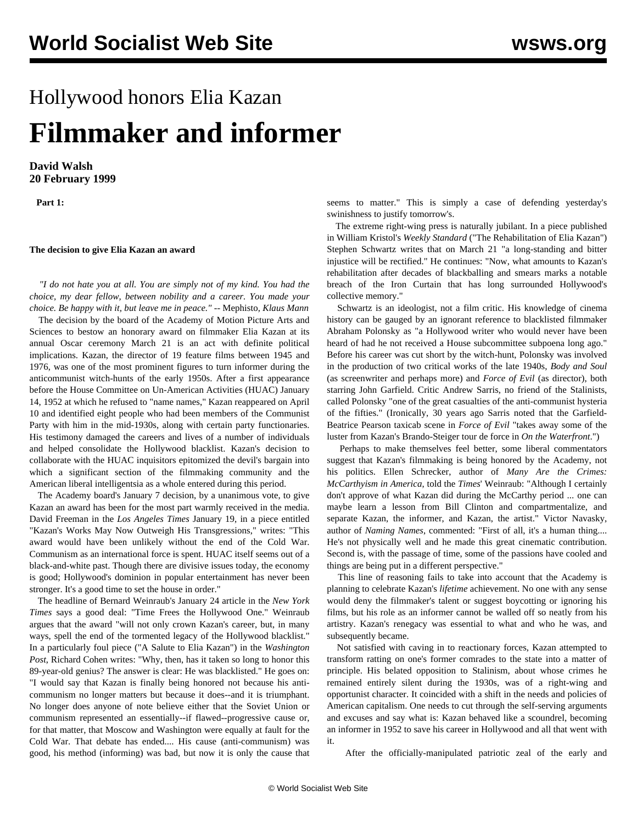# Hollywood honors Elia Kazan **Filmmaker and informer**

**David Walsh 20 February 1999**

**Part 1:**

# **The decision to give Elia Kazan an award**

 *"I do not hate you at all. You are simply not of my kind. You had the choice, my dear fellow, between nobility and a career. You made your choice. Be happy with it, but leave me in peace." --* Mephisto*, Klaus Mann*

 The decision by the board of the Academy of Motion Picture Arts and Sciences to bestow an honorary award on filmmaker Elia Kazan at its annual Oscar ceremony March 21 is an act with definite political implications. Kazan, the director of 19 feature films between 1945 and 1976, was one of the most prominent figures to turn informer during the anticommunist witch-hunts of the early 1950s. After a first appearance before the House Committee on Un-American Activities (HUAC) January 14, 1952 at which he refused to "name names," Kazan reappeared on April 10 and identified eight people who had been members of the Communist Party with him in the mid-1930s, along with certain party functionaries. His testimony damaged the careers and lives of a number of individuals and helped consolidate the Hollywood blacklist. Kazan's decision to collaborate with the HUAC inquisitors epitomized the devil's bargain into which a significant section of the filmmaking community and the American liberal intelligentsia as a whole entered during this period.

 The Academy board's January 7 decision, by a unanimous vote, to give Kazan an award has been for the most part warmly received in the media. David Freeman in the *Los Angeles Times* January 19, in a piece entitled "Kazan's Works May Now Outweigh His Transgressions," writes: "This award would have been unlikely without the end of the Cold War. Communism as an international force is spent. HUAC itself seems out of a black-and-white past. Though there are divisive issues today, the economy is good; Hollywood's dominion in popular entertainment has never been stronger. It's a good time to set the house in order."

 The headline of Bernard Weinraub's January 24 article in the *New York Times* says a good deal: "Time Frees the Hollywood One." Weinraub argues that the award "will not only crown Kazan's career, but, in many ways, spell the end of the tormented legacy of the Hollywood blacklist." In a particularly foul piece ("A Salute to Elia Kazan") in the *Washington Post*, Richard Cohen writes: "Why, then, has it taken so long to honor this 89-year-old genius? The answer is clear: He was blacklisted." He goes on: "I would say that Kazan is finally being honored not because his anticommunism no longer matters but because it does--and it is triumphant. No longer does anyone of note believe either that the Soviet Union or communism represented an essentially--if flawed--progressive cause or, for that matter, that Moscow and Washington were equally at fault for the Cold War. That debate has ended.... His cause (anti-communism) was good, his method (informing) was bad, but now it is only the cause that

seems to matter." This is simply a case of defending yesterday's swinishness to justify tomorrow's.

 The extreme right-wing press is naturally jubilant. In a piece published in William Kristol's *Weekly Standard* ("The Rehabilitation of Elia Kazan") Stephen Schwartz writes that on March 21 "a long-standing and bitter injustice will be rectified." He continues: "Now, what amounts to Kazan's rehabilitation after decades of blackballing and smears marks a notable breach of the Iron Curtain that has long surrounded Hollywood's collective memory."

 Schwartz is an ideologist, not a film critic. His knowledge of cinema history can be gauged by an ignorant reference to blacklisted filmmaker Abraham Polonsky as "a Hollywood writer who would never have been heard of had he not received a House subcommittee subpoena long ago." Before his career was cut short by the witch-hunt, Polonsky was involved in the production of two critical works of the late 1940s, *Body and Soul* (as screenwriter and perhaps more) and *Force of Evil* (as director), both starring John Garfield. Critic Andrew Sarris, no friend of the Stalinists, called Polonsky "one of the great casualties of the anti-communist hysteria of the fifties." (Ironically, 30 years ago Sarris noted that the Garfield-Beatrice Pearson taxicab scene in *Force of Evil* "takes away some of the luster from Kazan's Brando-Steiger tour de force in *On the Waterfront*.")

 Perhaps to make themselves feel better, some liberal commentators suggest that Kazan's filmmaking is being honored by the Academy, not his politics. Ellen Schrecker, author of *Many Are the Crimes: McCarthyism in America*, told the *Times*' Weinraub: "Although I certainly don't approve of what Kazan did during the McCarthy period ... one can maybe learn a lesson from Bill Clinton and compartmentalize, and separate Kazan, the informer, and Kazan, the artist." Victor Navasky, author of *Naming Names*, commented: "First of all, it's a human thing.... He's not physically well and he made this great cinematic contribution. Second is, with the passage of time, some of the passions have cooled and things are being put in a different perspective."

 This line of reasoning fails to take into account that the Academy is planning to celebrate Kazan's *lifetime* achievement. No one with any sense would deny the filmmaker's talent or suggest boycotting or ignoring his films, but his role as an informer cannot be walled off so neatly from his artistry. Kazan's renegacy was essential to what and who he was, and subsequently became.

 Not satisfied with caving in to reactionary forces, Kazan attempted to transform ratting on one's former comrades to the state into a matter of principle. His belated opposition to Stalinism, about whose crimes he remained entirely silent during the 1930s, was of a right-wing and opportunist character. It coincided with a shift in the needs and policies of American capitalism. One needs to cut through the self-serving arguments and excuses and say what is: Kazan behaved like a scoundrel, becoming an informer in 1952 to save his career in Hollywood and all that went with it.

After the officially-manipulated patriotic zeal of the early and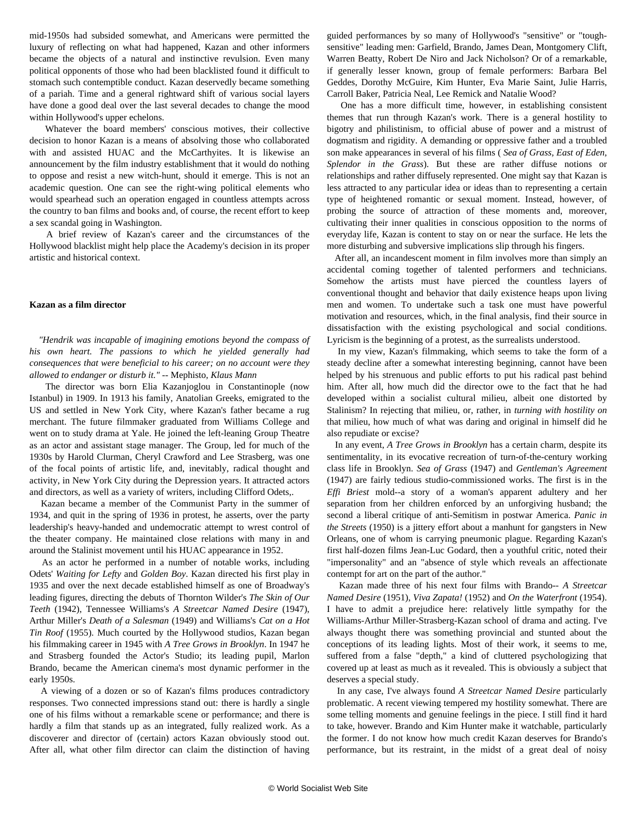mid-1950s had subsided somewhat, and Americans were permitted the luxury of reflecting on what had happened, Kazan and other informers became the objects of a natural and instinctive revulsion. Even many political opponents of those who had been blacklisted found it difficult to stomach such contemptible conduct. Kazan deservedly became something of a pariah. Time and a general rightward shift of various social layers have done a good deal over the last several decades to change the mood within Hollywood's upper echelons.

 Whatever the board members' conscious motives, their collective decision to honor Kazan is a means of absolving those who collaborated with and assisted HUAC and the McCarthyites. It is likewise an announcement by the film industry establishment that it would do nothing to oppose and resist a new witch-hunt, should it emerge. This is not an academic question. One can see the right-wing political elements who would spearhead such an operation engaged in countless attempts across the country to ban films and books and, of course, the recent effort to keep a sex scandal going in Washington.

 A brief review of Kazan's career and the circumstances of the Hollywood blacklist might help place the Academy's decision in its proper artistic and historical context.

## **Kazan as a film director**

 *"Hendrik was incapable of imagining emotions beyond the compass of his own heart. The passions to which he yielded generally had consequences that were beneficial to his career; on no account were they allowed to endanger or disturb it." --* Mephisto*, Klaus Mann*

 The director was born Elia Kazanjoglou in Constantinople (now Istanbul) in 1909. In 1913 his family, Anatolian Greeks, emigrated to the US and settled in New York City, where Kazan's father became a rug merchant. The future filmmaker graduated from Williams College and went on to study drama at Yale. He joined the left-leaning Group Theatre as an actor and assistant stage manager. The Group, led for much of the 1930s by Harold Clurman, Cheryl Crawford and Lee Strasberg, was one of the focal points of artistic life, and, inevitably, radical thought and activity, in New York City during the Depression years. It attracted actors and directors, as well as a variety of writers, including Clifford Odets,.

 Kazan became a member of the Communist Party in the summer of 1934, and quit in the spring of 1936 in protest, he asserts, over the party leadership's heavy-handed and undemocratic attempt to wrest control of the theater company. He maintained close relations with many in and around the Stalinist movement until his HUAC appearance in 1952.

 As an actor he performed in a number of notable works, including Odets' *Waiting for Lefty* and *Golden Boy*. Kazan directed his first play in 1935 and over the next decade established himself as one of Broadway's leading figures, directing the debuts of Thornton Wilder's *The Skin of Our Teeth* (1942), Tennessee Williams's *A Streetcar Named Desire* (1947), Arthur Miller's *Death of a Salesman* (1949) and Williams's *Cat on a Hot Tin Roof* (1955). Much courted by the Hollywood studios, Kazan began his filmmaking career in 1945 with *A Tree Grows in Brooklyn*. In 1947 he and Strasberg founded the Actor's Studio; its leading pupil, Marlon Brando, became the American cinema's most dynamic performer in the early 1950s.

 A viewing of a dozen or so of Kazan's films produces contradictory responses. Two connected impressions stand out: there is hardly a single one of his films without a remarkable scene or performance; and there is hardly a film that stands up as an integrated, fully realized work. As a discoverer and director of (certain) actors Kazan obviously stood out. After all, what other film director can claim the distinction of having guided performances by so many of Hollywood's "sensitive" or "toughsensitive" leading men: Garfield, Brando, James Dean, Montgomery Clift, Warren Beatty, Robert De Niro and Jack Nicholson? Or of a remarkable, if generally lesser known, group of female performers: Barbara Bel Geddes, Dorothy McGuire, Kim Hunter, Eva Marie Saint, Julie Harris, Carroll Baker, Patricia Neal, Lee Remick and Natalie Wood?

 One has a more difficult time, however, in establishing consistent themes that run through Kazan's work. There is a general hostility to bigotry and philistinism, to official abuse of power and a mistrust of dogmatism and rigidity. A demanding or oppressive father and a troubled son make appearances in several of his films ( *Sea of Grass, East of Eden, Splendor in the Grass*). But these are rather diffuse notions or relationships and rather diffusely represented. One might say that Kazan is less attracted to any particular idea or ideas than to representing a certain type of heightened romantic or sexual moment. Instead, however, of probing the source of attraction of these moments and, moreover, cultivating their inner qualities in conscious opposition to the norms of everyday life, Kazan is content to stay on or near the surface. He lets the more disturbing and subversive implications slip through his fingers.

 After all, an incandescent moment in film involves more than simply an accidental coming together of talented performers and technicians. Somehow the artists must have pierced the countless layers of conventional thought and behavior that daily existence heaps upon living men and women. To undertake such a task one must have powerful motivation and resources, which, in the final analysis, find their source in dissatisfaction with the existing psychological and social conditions. Lyricism is the beginning of a protest, as the surrealists understood.

 In my view, Kazan's filmmaking, which seems to take the form of a steady decline after a somewhat interesting beginning, cannot have been helped by his strenuous and public efforts to put his radical past behind him. After all, how much did the director owe to the fact that he had developed within a socialist cultural milieu, albeit one distorted by Stalinism? In rejecting that milieu, or, rather, in *turning with hostility on* that milieu, how much of what was daring and original in himself did he also repudiate or excise?

 In any event, *A Tree Grows in Brooklyn* has a certain charm, despite its sentimentality, in its evocative recreation of turn-of-the-century working class life in Brooklyn. *Sea of Grass* (1947) and *Gentleman's Agreement* (1947) are fairly tedious studio-commissioned works. The first is in the *Effi Briest* mold--a story of a woman's apparent adultery and her separation from her children enforced by an unforgiving husband; the second a liberal critique of anti-Semitism in postwar America. *Panic in the Streets* (1950) is a jittery effort about a manhunt for gangsters in New Orleans, one of whom is carrying pneumonic plague. Regarding Kazan's first half-dozen films Jean-Luc Godard, then a youthful critic, noted their "impersonality" and an "absence of style which reveals an affectionate contempt for art on the part of the author."

 Kazan made three of his next four films with Brando-- *A Streetcar Named Desire* (1951), *Viva Zapata!* (1952) and *On the Waterfront* (1954). I have to admit a prejudice here: relatively little sympathy for the Williams-Arthur Miller-Strasberg-Kazan school of drama and acting. I've always thought there was something provincial and stunted about the conceptions of its leading lights. Most of their work, it seems to me, suffered from a false "depth," a kind of cluttered psychologizing that covered up at least as much as it revealed. This is obviously a subject that deserves a special study.

 In any case, I've always found *A Streetcar Named Desire* particularly problematic. A recent viewing tempered my hostility somewhat. There are some telling moments and genuine feelings in the piece. I still find it hard to take, however. Brando and Kim Hunter make it watchable, particularly the former. I do not know how much credit Kazan deserves for Brando's performance, but its restraint, in the midst of a great deal of noisy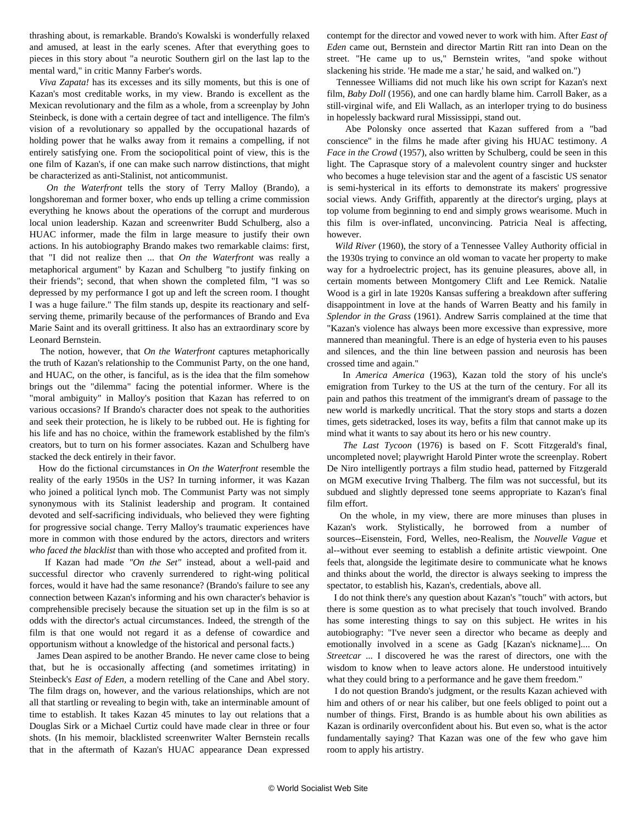thrashing about, is remarkable. Brando's Kowalski is wonderfully relaxed and amused, at least in the early scenes. After that everything goes to pieces in this story about "a neurotic Southern girl on the last lap to the mental ward," in critic Manny Farber's words.

 *Viva Zapata!* has its excesses and its silly moments, but this is one of Kazan's most creditable works, in my view. Brando is excellent as the Mexican revolutionary and the film as a whole, from a screenplay by John Steinbeck, is done with a certain degree of tact and intelligence. The film's vision of a revolutionary so appalled by the occupational hazards of holding power that he walks away from it remains a compelling, if not entirely satisfying one. From the sociopolitical point of view, this is the one film of Kazan's, if one can make such narrow distinctions, that might be characterized as anti-Stalinist, not anticommunist.

 *On the Waterfront* tells the story of Terry Malloy (Brando), a longshoreman and former boxer, who ends up telling a crime commission everything he knows about the operations of the corrupt and murderous local union leadership. Kazan and screenwriter Budd Schulberg, also a HUAC informer, made the film in large measure to justify their own actions. In his autobiography Brando makes two remarkable claims: first, that "I did not realize then ... that *On the Waterfront* was really a metaphorical argument" by Kazan and Schulberg "to justify finking on their friends"; second, that when shown the completed film, "I was so depressed by my performance I got up and left the screen room. I thought I was a huge failure." The film stands up, despite its reactionary and selfserving theme, primarily because of the performances of Brando and Eva Marie Saint and its overall grittiness. It also has an extraordinary score by Leonard Bernstein.

 The notion, however, that *On the Waterfront* captures metaphorically the truth of Kazan's relationship to the Communist Party, on the one hand, and HUAC, on the other, is fanciful, as is the idea that the film somehow brings out the "dilemma" facing the potential informer. Where is the "moral ambiguity" in Malloy's position that Kazan has referred to on various occasions? If Brando's character does not speak to the authorities and seek their protection, he is likely to be rubbed out. He is fighting for his life and has no choice, within the framework established by the film's creators, but to turn on his former associates. Kazan and Schulberg have stacked the deck entirely in their favor.

 How do the fictional circumstances in *On the Waterfront* resemble the reality of the early 1950s in the US? In turning informer, it was Kazan who joined a political lynch mob. The Communist Party was not simply synonymous with its Stalinist leadership and program. It contained devoted and self-sacrificing individuals, who believed they were fighting for progressive social change. Terry Malloy's traumatic experiences have more in common with those endured by the actors, directors and writers *who faced the blacklist* than with those who accepted and profited from it.

 If Kazan had made *"On the Set"* instead, about a well-paid and successful director who cravenly surrendered to right-wing political forces, would it have had the same resonance? (Brando's failure to see any connection between Kazan's informing and his own character's behavior is comprehensible precisely because the situation set up in the film is so at odds with the director's actual circumstances. Indeed, the strength of the film is that one would not regard it as a defense of cowardice and opportunism without a knowledge of the historical and personal facts.)

 James Dean aspired to be another Brando. He never came close to being that, but he is occasionally affecting (and sometimes irritating) in Steinbeck's *East of Eden*, a modern retelling of the Cane and Abel story. The film drags on, however, and the various relationships, which are not all that startling or revealing to begin with, take an interminable amount of time to establish. It takes Kazan 45 minutes to lay out relations that a Douglas Sirk or a Michael Curtiz could have made clear in three or four shots. (In his memoir, blacklisted screenwriter Walter Bernstein recalls that in the aftermath of Kazan's HUAC appearance Dean expressed

contempt for the director and vowed never to work with him. After *East of Eden* came out, Bernstein and director Martin Ritt ran into Dean on the street. "He came up to us," Bernstein writes, "and spoke without slackening his stride. 'He made me a star,' he said, and walked on.")

 Tennessee Williams did not much like his own script for Kazan's next film, *Baby Doll* (1956), and one can hardly blame him. Carroll Baker, as a still-virginal wife, and Eli Wallach, as an interloper trying to do business in hopelessly backward rural Mississippi, stand out.

 Abe Polonsky once asserted that Kazan suffered from a "bad conscience" in the films he made after giving his HUAC testimony. *A Face in the Crowd* (1957), also written by Schulberg, could be seen in this light. The Caprasque story of a malevolent country singer and huckster who becomes a huge television star and the agent of a fascistic US senator is semi-hysterical in its efforts to demonstrate its makers' progressive social views. Andy Griffith, apparently at the director's urging, plays at top volume from beginning to end and simply grows wearisome. Much in this film is over-inflated, unconvincing. Patricia Neal is affecting, however.

 *Wild River* (1960), the story of a Tennessee Valley Authority official in the 1930s trying to convince an old woman to vacate her property to make way for a hydroelectric project, has its genuine pleasures, above all, in certain moments between Montgomery Clift and Lee Remick. Natalie Wood is a girl in late 1920s Kansas suffering a breakdown after suffering disappointment in love at the hands of Warren Beatty and his family in *Splendor in the Grass* (1961). Andrew Sarris complained at the time that "Kazan's violence has always been more excessive than expressive, more mannered than meaningful. There is an edge of hysteria even to his pauses and silences, and the thin line between passion and neurosis has been crossed time and again."

 In *America America* (1963), Kazan told the story of his uncle's emigration from Turkey to the US at the turn of the century. For all its pain and pathos this treatment of the immigrant's dream of passage to the new world is markedly uncritical. That the story stops and starts a dozen times, gets sidetracked, loses its way, befits a film that cannot make up its mind what it wants to say about its hero or his new country.

 *The Last Tycoon* (1976) is based on F. Scott Fitzgerald's final, uncompleted novel; playwright Harold Pinter wrote the screenplay. Robert De Niro intelligently portrays a film studio head, patterned by Fitzgerald on MGM executive Irving Thalberg. The film was not successful, but its subdued and slightly depressed tone seems appropriate to Kazan's final film effort.

 On the whole, in my view, there are more minuses than pluses in Kazan's work. Stylistically, he borrowed from a number of sources--Eisenstein, Ford, Welles, neo-Realism, the *Nouvelle Vague* et al--without ever seeming to establish a definite artistic viewpoint. One feels that, alongside the legitimate desire to communicate what he knows and thinks about the world, the director is always seeking to impress the spectator, to establish his, Kazan's, credentials, above all.

 I do not think there's any question about Kazan's "touch" with actors, but there is some question as to what precisely that touch involved. Brando has some interesting things to say on this subject. He writes in his autobiography: "I've never seen a director who became as deeply and emotionally involved in a scene as Gadg [Kazan's nickname].... On *Streetcar* ... I discovered he was the rarest of directors, one with the wisdom to know when to leave actors alone. He understood intuitively what they could bring to a performance and he gave them freedom."

 I do not question Brando's judgment, or the results Kazan achieved with him and others of or near his caliber, but one feels obliged to point out a number of things. First, Brando is as humble about his own abilities as Kazan is ordinarily overconfident about his. But even so, what is the actor fundamentally saying? That Kazan was one of the few who gave him room to apply his artistry.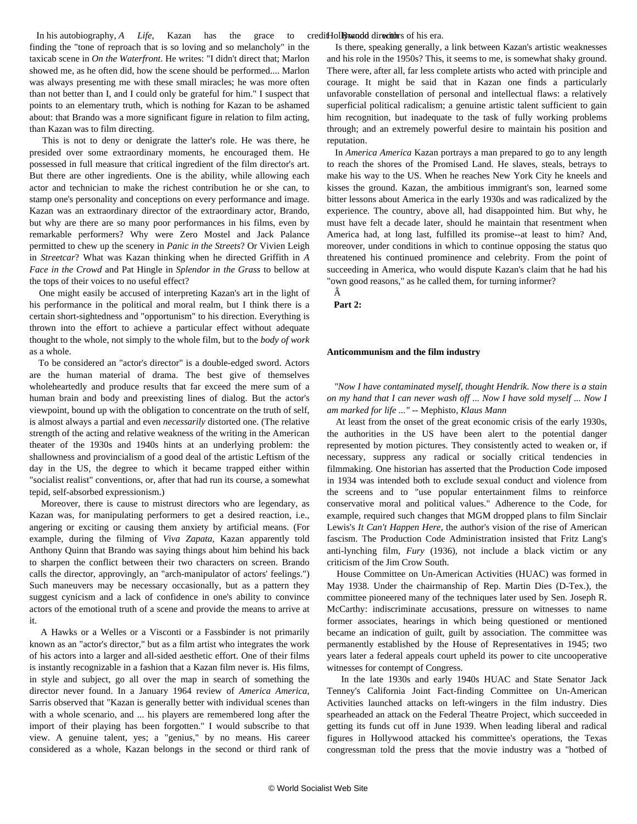In his autobiography, *A Life*, Kazan has the grace to credit**Holly and director**s of his era. finding the "tone of reproach that is so loving and so melancholy" in the taxicab scene in *On the Waterfront*. He writes: "I didn't direct that; Marlon showed me, as he often did, how the scene should be performed.... Marlon was always presenting me with these small miracles; he was more often than not better than I, and I could only be grateful for him." I suspect that points to an elementary truth, which is nothing for Kazan to be ashamed about: that Brando was a more significant figure in relation to film acting, than Kazan was to film directing.

 This is not to deny or denigrate the latter's role. He was there, he presided over some extraordinary moments, he encouraged them. He possessed in full measure that critical ingredient of the film director's art. But there are other ingredients. One is the ability, while allowing each actor and technician to make the richest contribution he or she can, to stamp one's personality and conceptions on every performance and image. Kazan was an extraordinary director of the extraordinary actor, Brando, but why are there are so many poor performances in his films, even by remarkable performers? Why were Zero Mostel and Jack Palance permitted to chew up the scenery in *Panic in the Streets*? Or Vivien Leigh in *Streetcar*? What was Kazan thinking when he directed Griffith in *A Face in the Crowd* and Pat Hingle in *Splendor in the Grass* to bellow at the tops of their voices to no useful effect?

 One might easily be accused of interpreting Kazan's art in the light of his performance in the political and moral realm, but I think there is a certain short-sightedness and "opportunism" to his direction. Everything is thrown into the effort to achieve a particular effect without adequate thought to the whole, not simply to the whole film, but to the *body of work* as a whole.

 To be considered an "actor's director" is a double-edged sword. Actors are the human material of drama. The best give of themselves wholeheartedly and produce results that far exceed the mere sum of a human brain and body and preexisting lines of dialog. But the actor's viewpoint, bound up with the obligation to concentrate on the truth of self, is almost always a partial and even *necessarily* distorted one. (The relative strength of the acting and relative weakness of the writing in the American theater of the 1930s and 1940s hints at an underlying problem: the shallowness and provincialism of a good deal of the artistic Leftism of the day in the US, the degree to which it became trapped either within "socialist realist" conventions, or, after that had run its course, a somewhat tepid, self-absorbed expressionism.)

 Moreover, there is cause to mistrust directors who are legendary, as Kazan was, for manipulating performers to get a desired reaction, i.e., angering or exciting or causing them anxiety by artificial means. (For example, during the filming of *Viva Zapata*, Kazan apparently told Anthony Quinn that Brando was saying things about him behind his back to sharpen the conflict between their two characters on screen. Brando calls the director, approvingly, an "arch-manipulator of actors' feelings.") Such maneuvers may be necessary occasionally, but as a pattern they suggest cynicism and a lack of confidence in one's ability to convince actors of the emotional truth of a scene and provide the means to arrive at it.

 A Hawks or a Welles or a Visconti or a Fassbinder is not primarily known as an "actor's director," but as a film artist who integrates the work of his actors into a larger and all-sided aesthetic effort. One of their films is instantly recognizable in a fashion that a Kazan film never is. His films, in style and subject, go all over the map in search of something the director never found. In a January 1964 review of *America America*, Sarris observed that "Kazan is generally better with individual scenes than with a whole scenario, and ... his players are remembered long after the import of their playing has been forgotten." I would subscribe to that view. A genuine talent, yes; a "genius," by no means. His career considered as a whole, Kazan belongs in the second or third rank of

 Is there, speaking generally, a link between Kazan's artistic weaknesses and his role in the 1950s? This, it seems to me, is somewhat shaky ground. There were, after all, far less complete artists who acted with principle and courage. It might be said that in Kazan one finds a particularly unfavorable constellation of personal and intellectual flaws: a relatively superficial political radicalism; a genuine artistic talent sufficient to gain him recognition, but inadequate to the task of fully working problems through; and an extremely powerful desire to maintain his position and reputation.

 In *America America* Kazan portrays a man prepared to go to any length to reach the shores of the Promised Land. He slaves, steals, betrays to make his way to the US. When he reaches New York City he kneels and kisses the ground. Kazan, the ambitious immigrant's son, learned some bitter lessons about America in the early 1930s and was radicalized by the experience. The country, above all, had disappointed him. But why, he must have felt a decade later, should he maintain that resentment when America had, at long last, fulfilled its promise--at least to him? And, moreover, under conditions in which to continue opposing the status quo threatened his continued prominence and celebrity. From the point of succeeding in America, who would dispute Kazan's claim that he had his "own good reasons," as he called them, for turning informer?

**Part 2:**

Â

## **Anticommunism and the film industry**

 *"Now I have contaminated myself, thought Hendrik. Now there is a stain on my hand that I can never wash off ... Now I have sold myself ... Now I am marked for life ..." --* Mephisto*, Klaus Mann*

 At least from the onset of the great economic crisis of the early 1930s, the authorities in the US have been alert to the potential danger represented by motion pictures. They consistently acted to weaken or, if necessary, suppress any radical or socially critical tendencies in filmmaking. One historian has asserted that the Production Code imposed in 1934 was intended both to exclude sexual conduct and violence from the screens and to "use popular entertainment films to reinforce conservative moral and political values." Adherence to the Code, for example, required such changes that MGM dropped plans to film Sinclair Lewis's *It Can't Happen Here*, the author's vision of the rise of American fascism. The Production Code Administration insisted that Fritz Lang's anti-lynching film, *Fury* (1936), not include a black victim or any criticism of the Jim Crow South.

 House Committee on Un-American Activities (HUAC) was formed in May 1938. Under the chairmanship of Rep. Martin Dies (D-Tex.), the committee pioneered many of the techniques later used by Sen. Joseph R. McCarthy: indiscriminate accusations, pressure on witnesses to name former associates, hearings in which being questioned or mentioned became an indication of guilt, guilt by association. The committee was permanently established by the House of Representatives in 1945; two years later a federal appeals court upheld its power to cite uncooperative witnesses for contempt of Congress.

 In the late 1930s and early 1940s HUAC and State Senator Jack Tenney's California Joint Fact-finding Committee on Un-American Activities launched attacks on left-wingers in the film industry. Dies spearheaded an attack on the Federal Theatre Project, which succeeded in getting its funds cut off in June 1939. When leading liberal and radical figures in Hollywood attacked his committee's operations, the Texas congressman told the press that the movie industry was a "hotbed of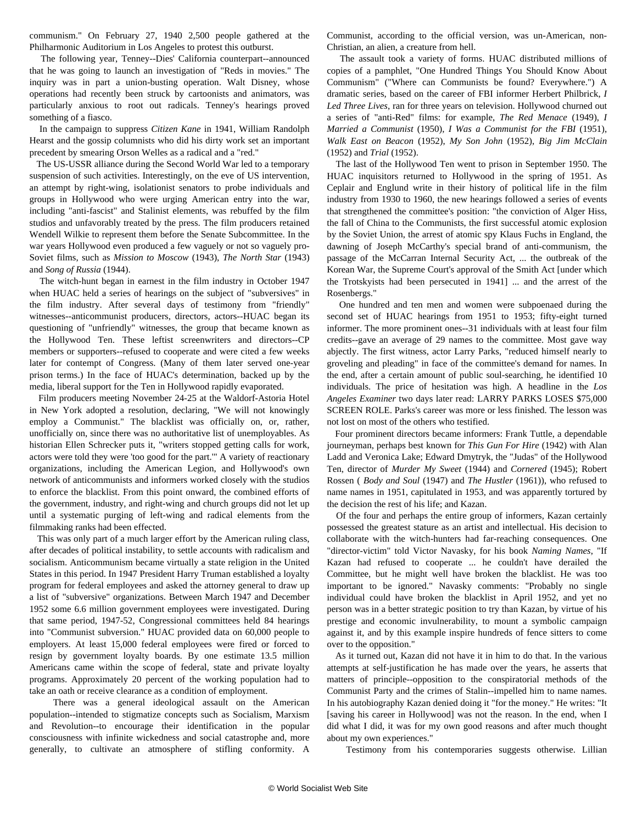communism." On February 27, 1940 2,500 people gathered at the Philharmonic Auditorium in Los Angeles to protest this outburst.

 The following year, Tenney--Dies' California counterpart--announced that he was going to launch an investigation of "Reds in movies." The inquiry was in part a union-busting operation. Walt Disney, whose operations had recently been struck by cartoonists and animators, was particularly anxious to root out radicals. Tenney's hearings proved something of a fiasco.

 In the campaign to suppress *Citizen Kane* in 1941, William Randolph Hearst and the gossip columnists who did his dirty work set an important precedent by smearing Orson Welles as a radical and a "red."

 The US-USSR alliance during the Second World War led to a temporary suspension of such activities. Interestingly, on the eve of US intervention, an attempt by right-wing, isolationist senators to probe individuals and groups in Hollywood who were urging American entry into the war, including "anti-fascist" and Stalinist elements, was rebuffed by the film studios and unfavorably treated by the press. The film producers retained Wendell Wilkie to represent them before the Senate Subcommittee. In the war years Hollywood even produced a few vaguely or not so vaguely pro-Soviet films, such as *Mission to Moscow* (1943), *The North Star* (1943) and *Song of Russia* (1944).

 The witch-hunt began in earnest in the film industry in October 1947 when HUAC held a series of hearings on the subject of "subversives" in the film industry. After several days of testimony from "friendly" witnesses--anticommunist producers, directors, actors--HUAC began its questioning of "unfriendly" witnesses, the group that became known as the Hollywood Ten. These leftist screenwriters and directors--CP members or supporters--refused to cooperate and were cited a few weeks later for contempt of Congress. (Many of them later served one-year prison terms.) In the face of HUAC's determination, backed up by the media, liberal support for the Ten in Hollywood rapidly evaporated.

 Film producers meeting November 24-25 at the Waldorf-Astoria Hotel in New York adopted a resolution, declaring, "We will not knowingly employ a Communist." The blacklist was officially on, or, rather, unofficially on, since there was no authoritative list of unemployables. As historian Ellen Schrecker puts it, "writers stopped getting calls for work, actors were told they were 'too good for the part.'" A variety of reactionary organizations, including the American Legion, and Hollywood's own network of anticommunists and informers worked closely with the studios to enforce the blacklist. From this point onward, the combined efforts of the government, industry, and right-wing and church groups did not let up until a systematic purging of left-wing and radical elements from the filmmaking ranks had been effected.

 This was only part of a much larger effort by the American ruling class, after decades of political instability, to settle accounts with radicalism and socialism. Anticommunism became virtually a state religion in the United States in this period. In 1947 President Harry Truman established a loyalty program for federal employees and asked the attorney general to draw up a list of "subversive" organizations. Between March 1947 and December 1952 some 6.6 million government employees were investigated. During that same period, 1947-52, Congressional committees held 84 hearings into "Communist subversion." HUAC provided data on 60,000 people to employers. At least 15,000 federal employees were fired or forced to resign by government loyalty boards. By one estimate 13.5 million Americans came within the scope of federal, state and private loyalty programs. Approximately 20 percent of the working population had to take an oath or receive clearance as a condition of employment.

 There was a general ideological assault on the American population--intended to stigmatize concepts such as Socialism, Marxism and Revolution--to encourage their identification in the popular consciousness with infinite wickedness and social catastrophe and, more generally, to cultivate an atmosphere of stifling conformity. A

Communist, according to the official version, was un-American, non-Christian, an alien, a creature from hell.

 The assault took a variety of forms. HUAC distributed millions of copies of a pamphlet, "One Hundred Things You Should Know About Communism" ("Where can Communists be found? Everywhere.") A dramatic series, based on the career of FBI informer Herbert Philbrick, *I Led Three Lives*, ran for three years on television. Hollywood churned out a series of "anti-Red" films: for example, *The Red Menace* (1949), *I Married a Communist* (1950), *I Was a Communist for the FBI* (1951), *Walk East on Beacon* (1952), *My Son John* (1952), *Big Jim McClain* (1952) and *Trial* (1952).

 The last of the Hollywood Ten went to prison in September 1950. The HUAC inquisitors returned to Hollywood in the spring of 1951. As Ceplair and Englund write in their history of political life in the film industry from 1930 to 1960, the new hearings followed a series of events that strengthened the committee's position: "the conviction of Alger Hiss, the fall of China to the Communists, the first successful atomic explosion by the Soviet Union, the arrest of atomic spy Klaus Fuchs in England, the dawning of Joseph McCarthy's special brand of anti-communism, the passage of the McCarran Internal Security Act, ... the outbreak of the Korean War, the Supreme Court's approval of the Smith Act [under which the Trotskyists had been persecuted in 1941] ... and the arrest of the Rosenbergs."

 One hundred and ten men and women were subpoenaed during the second set of HUAC hearings from 1951 to 1953; fifty-eight turned informer. The more prominent ones--31 individuals with at least four film credits--gave an average of 29 names to the committee. Most gave way abjectly. The first witness, actor Larry Parks, "reduced himself nearly to groveling and pleading" in face of the committee's demand for names. In the end, after a certain amount of public soul-searching, he identified 10 individuals. The price of hesitation was high. A headline in the *Los Angeles Examiner* two days later read: LARRY PARKS LOSES \$75,000 SCREEN ROLE. Parks's career was more or less finished. The lesson was not lost on most of the others who testified.

 Four prominent directors became informers: Frank Tuttle, a dependable journeyman, perhaps best known for *This Gun For Hire* (1942) with Alan Ladd and Veronica Lake; Edward Dmytryk, the "Judas" of the Hollywood Ten, director of *Murder My Sweet* (1944) and *Cornered* (1945); Robert Rossen ( *Body and Soul* (1947) and *The Hustler* (1961)), who refused to name names in 1951, capitulated in 1953, and was apparently tortured by the decision the rest of his life; and Kazan.

 Of the four and perhaps the entire group of informers, Kazan certainly possessed the greatest stature as an artist and intellectual. His decision to collaborate with the witch-hunters had far-reaching consequences. One "director-victim" told Victor Navasky, for his book *Naming Names*, "If Kazan had refused to cooperate ... he couldn't have derailed the Committee, but he might well have broken the blacklist. He was too important to be ignored." Navasky comments: "Probably no single individual could have broken the blacklist in April 1952, and yet no person was in a better strategic position to try than Kazan, by virtue of his prestige and economic invulnerability, to mount a symbolic campaign against it, and by this example inspire hundreds of fence sitters to come over to the opposition."

 As it turned out, Kazan did not have it in him to do that. In the various attempts at self-justification he has made over the years, he asserts that matters of principle--opposition to the conspiratorial methods of the Communist Party and the crimes of Stalin--impelled him to name names. In his autobiography Kazan denied doing it "for the money." He writes: "It [saving his career in Hollywood] was not the reason. In the end, when I did what I did, it was for my own good reasons and after much thought about my own experiences."

Testimony from his contemporaries suggests otherwise. Lillian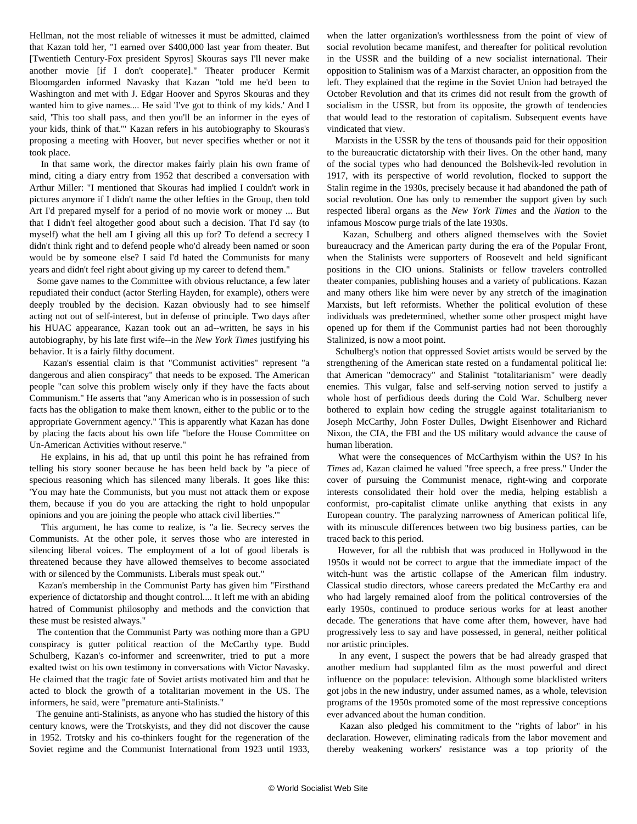Hellman, not the most reliable of witnesses it must be admitted, claimed that Kazan told her, "I earned over \$400,000 last year from theater. But [Twentieth Century-Fox president Spyros] Skouras says I'll never make another movie [if I don't cooperate]." Theater producer Kermit Bloomgarden informed Navasky that Kazan "told me he'd been to Washington and met with J. Edgar Hoover and Spyros Skouras and they wanted him to give names.... He said 'I've got to think of my kids.' And I said, 'This too shall pass, and then you'll be an informer in the eyes of your kids, think of that.'" Kazan refers in his autobiography to Skouras's proposing a meeting with Hoover, but never specifies whether or not it took place.

 In that same work, the director makes fairly plain his own frame of mind, citing a diary entry from 1952 that described a conversation with Arthur Miller: "I mentioned that Skouras had implied I couldn't work in pictures anymore if I didn't name the other lefties in the Group, then told Art I'd prepared myself for a period of no movie work or money ... But that I didn't feel altogether good about such a decision. That I'd say (to myself) what the hell am I giving all this up for? To defend a secrecy I didn't think right and to defend people who'd already been named or soon would be by someone else? I said I'd hated the Communists for many years and didn't feel right about giving up my career to defend them."

 Some gave names to the Committee with obvious reluctance, a few later repudiated their conduct (actor Sterling Hayden, for example), others were deeply troubled by the decision. Kazan obviously had to see himself acting not out of self-interest, but in defense of principle. Two days after his HUAC appearance, Kazan took out an ad--written, he says in his autobiography, by his late first wife--in the *New York Times* justifying his behavior. It is a fairly filthy document.

 Kazan's essential claim is that "Communist activities" represent "a dangerous and alien conspiracy" that needs to be exposed. The American people "can solve this problem wisely only if they have the facts about Communism." He asserts that "any American who is in possession of such facts has the obligation to make them known, either to the public or to the appropriate Government agency." This is apparently what Kazan has done by placing the facts about his own life "before the House Committee on Un-American Activities without reserve."

 He explains, in his ad, that up until this point he has refrained from telling his story sooner because he has been held back by "a piece of specious reasoning which has silenced many liberals. It goes like this: 'You may hate the Communists, but you must not attack them or expose them, because if you do you are attacking the right to hold unpopular opinions and you are joining the people who attack civil liberties.'"

 This argument, he has come to realize, is "a lie. Secrecy serves the Communists. At the other pole, it serves those who are interested in silencing liberal voices. The employment of a lot of good liberals is threatened because they have allowed themselves to become associated with or silenced by the Communists. Liberals must speak out."

 Kazan's membership in the Communist Party has given him "Firsthand experience of dictatorship and thought control.... It left me with an abiding hatred of Communist philosophy and methods and the conviction that these must be resisted always."

 The contention that the Communist Party was nothing more than a GPU conspiracy is gutter political reaction of the McCarthy type. Budd Schulberg, Kazan's co-informer and screenwriter, tried to put a more exalted twist on his own testimony in conversations with Victor Navasky. He claimed that the tragic fate of Soviet artists motivated him and that he acted to block the growth of a totalitarian movement in the US. The informers, he said, were "premature anti-Stalinists."

 The genuine anti-Stalinists, as anyone who has studied the history of this century knows, were the Trotskyists, and they did not discover the cause in 1952. Trotsky and his co-thinkers fought for the regeneration of the Soviet regime and the Communist International from 1923 until 1933, when the latter organization's worthlessness from the point of view of social revolution became manifest, and thereafter for political revolution in the USSR and the building of a new socialist international. Their opposition to Stalinism was of a Marxist character, an opposition from the left. They explained that the regime in the Soviet Union had betrayed the October Revolution and that its crimes did not result from the growth of socialism in the USSR, but from its opposite, the growth of tendencies that would lead to the restoration of capitalism. Subsequent events have vindicated that view.

 Marxists in the USSR by the tens of thousands paid for their opposition to the bureaucratic dictatorship with their lives. On the other hand, many of the social types who had denounced the Bolshevik-led revolution in 1917, with its perspective of world revolution, flocked to support the Stalin regime in the 1930s, precisely because it had abandoned the path of social revolution. One has only to remember the support given by such respected liberal organs as the *New York Times* and the *Nation* to the infamous Moscow purge trials of the late 1930s.

 Kazan, Schulberg and others aligned themselves with the Soviet bureaucracy and the American party during the era of the Popular Front, when the Stalinists were supporters of Roosevelt and held significant positions in the CIO unions. Stalinists or fellow travelers controlled theater companies, publishing houses and a variety of publications. Kazan and many others like him were never by any stretch of the imagination Marxists, but left reformists. Whether the political evolution of these individuals was predetermined, whether some other prospect might have opened up for them if the Communist parties had not been thoroughly Stalinized, is now a moot point.

 Schulberg's notion that oppressed Soviet artists would be served by the strengthening of the American state rested on a fundamental political lie: that American "democracy" and Stalinist "totalitarianism" were deadly enemies. This vulgar, false and self-serving notion served to justify a whole host of perfidious deeds during the Cold War. Schulberg never bothered to explain how ceding the struggle against totalitarianism to Joseph McCarthy, John Foster Dulles, Dwight Eisenhower and Richard Nixon, the CIA, the FBI and the US military would advance the cause of human liberation.

 What were the consequences of McCarthyism within the US? In his *Times* ad, Kazan claimed he valued "free speech, a free press." Under the cover of pursuing the Communist menace, right-wing and corporate interests consolidated their hold over the media, helping establish a conformist, pro-capitalist climate unlike anything that exists in any European country. The paralyzing narrowness of American political life, with its minuscule differences between two big business parties, can be traced back to this period.

 However, for all the rubbish that was produced in Hollywood in the 1950s it would not be correct to argue that the immediate impact of the witch-hunt was the artistic collapse of the American film industry. Classical studio directors, whose careers predated the McCarthy era and who had largely remained aloof from the political controversies of the early 1950s, continued to produce serious works for at least another decade. The generations that have come after them, however, have had progressively less to say and have possessed, in general, neither political nor artistic principles.

 In any event, I suspect the powers that be had already grasped that another medium had supplanted film as the most powerful and direct influence on the populace: television. Although some blacklisted writers got jobs in the new industry, under assumed names, as a whole, television programs of the 1950s promoted some of the most repressive conceptions ever advanced about the human condition.

 Kazan also pledged his commitment to the "rights of labor" in his declaration. However, eliminating radicals from the labor movement and thereby weakening workers' resistance was a top priority of the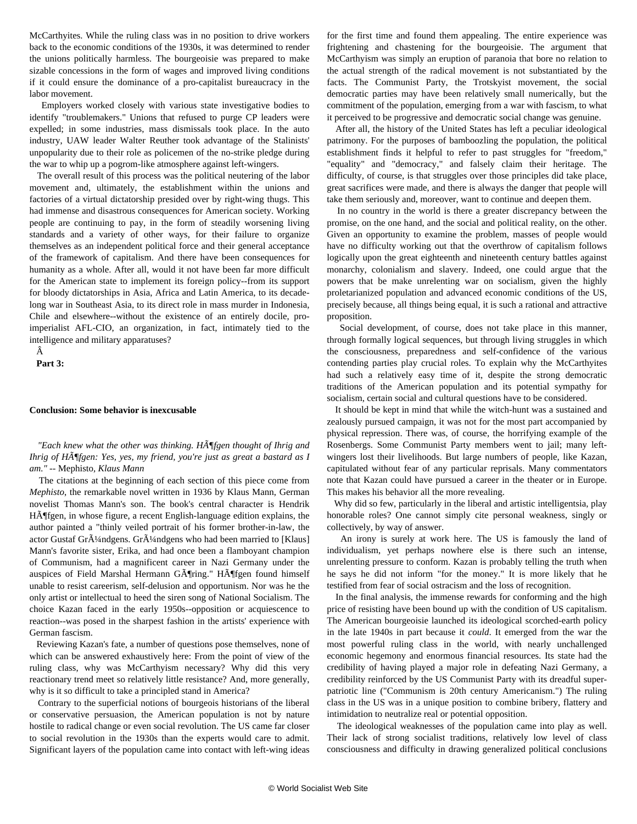McCarthyites. While the ruling class was in no position to drive workers back to the economic conditions of the 1930s, it was determined to render the unions politically harmless. The bourgeoisie was prepared to make sizable concessions in the form of wages and improved living conditions if it could ensure the dominance of a pro-capitalist bureaucracy in the labor movement.

 Employers worked closely with various state investigative bodies to identify "troublemakers." Unions that refused to purge CP leaders were expelled; in some industries, mass dismissals took place. In the auto industry, UAW leader Walter Reuther took advantage of the Stalinists' unpopularity due to their role as policemen of the no-strike pledge during the war to whip up a pogrom-like atmosphere against left-wingers.

 The overall result of this process was the political neutering of the labor movement and, ultimately, the establishment within the unions and factories of a virtual dictatorship presided over by right-wing thugs. This had immense and disastrous consequences for American society. Working people are continuing to pay, in the form of steadily worsening living standards and a variety of other ways, for their failure to organize themselves as an independent political force and their general acceptance of the framework of capitalism. And there have been consequences for humanity as a whole. After all, would it not have been far more difficult for the American state to implement its foreign policy--from its support for bloody dictatorships in Asia, Africa and Latin America, to its decadelong war in Southeast Asia, to its direct role in mass murder in Indonesia, Chile and elsewhere--without the existence of an entirely docile, proimperialist AFL-CIO, an organization, in fact, intimately tied to the intelligence and military apparatuses?

 Â **Part 3:**

## **Conclusion: Some behavior is inexcusable**

 *"Each knew what the other was thinking. Höfgen thought of Ihrig and Ihrig of Höfgen: Yes, yes, my friend, you're just as great a bastard as I am." --* Mephisto*, Klaus Mann*

 The citations at the beginning of each section of this piece come from *Mephisto*, the remarkable novel written in 1936 by Klaus Mann, German novelist Thomas Mann's son. The book's central character is Hendrik Höfgen, in whose figure, a recent English-language edition explains, the author painted a "thinly veiled portrait of his former brother-in-law, the actor Gustaf Gr $\tilde{A}^{1/4}$ ndgens. Gr $\tilde{A}^{1/4}$ ndgens who had been married to [Klaus] Mann's favorite sister, Erika, and had once been a flamboyant champion of Communism, had a magnificent career in Nazi Germany under the auspices of Field Marshal Hermann GATring." HATfgen found himself unable to resist careerism, self-delusion and opportunism. Nor was he the only artist or intellectual to heed the siren song of National Socialism. The choice Kazan faced in the early 1950s--opposition or acquiescence to reaction--was posed in the sharpest fashion in the artists' experience with German fascism.

 Reviewing Kazan's fate, a number of questions pose themselves, none of which can be answered exhaustively here: From the point of view of the ruling class, why was McCarthyism necessary? Why did this very reactionary trend meet so relatively little resistance? And, more generally, why is it so difficult to take a principled stand in America?

 Contrary to the superficial notions of bourgeois historians of the liberal or conservative persuasion, the American population is not by nature hostile to radical change or even social revolution. The US came far closer to social revolution in the 1930s than the experts would care to admit. Significant layers of the population came into contact with left-wing ideas

for the first time and found them appealing. The entire experience was frightening and chastening for the bourgeoisie. The argument that McCarthyism was simply an eruption of paranoia that bore no relation to the actual strength of the radical movement is not substantiated by the facts. The Communist Party, the Trotskyist movement, the social democratic parties may have been relatively small numerically, but the commitment of the population, emerging from a war with fascism, to what it perceived to be progressive and democratic social change was genuine.

 After all, the history of the United States has left a peculiar ideological patrimony. For the purposes of bamboozling the population, the political establishment finds it helpful to refer to past struggles for "freedom," "equality" and "democracy," and falsely claim their heritage. The difficulty, of course, is that struggles over those principles did take place, great sacrifices were made, and there is always the danger that people will take them seriously and, moreover, want to continue and deepen them.

 In no country in the world is there a greater discrepancy between the promise, on the one hand, and the social and political reality, on the other. Given an opportunity to examine the problem, masses of people would have no difficulty working out that the overthrow of capitalism follows logically upon the great eighteenth and nineteenth century battles against monarchy, colonialism and slavery. Indeed, one could argue that the powers that be make unrelenting war on socialism, given the highly proletarianized population and advanced economic conditions of the US, precisely because, all things being equal, it is such a rational and attractive proposition.

 Social development, of course, does not take place in this manner, through formally logical sequences, but through living struggles in which the consciousness, preparedness and self-confidence of the various contending parties play crucial roles. To explain why the McCarthyites had such a relatively easy time of it, despite the strong democratic traditions of the American population and its potential sympathy for socialism, certain social and cultural questions have to be considered.

 It should be kept in mind that while the witch-hunt was a sustained and zealously pursued campaign, it was not for the most part accompanied by physical repression. There was, of course, the horrifying example of the Rosenbergs. Some Communist Party members went to jail; many leftwingers lost their livelihoods. But large numbers of people, like Kazan, capitulated without fear of any particular reprisals. Many commentators note that Kazan could have pursued a career in the theater or in Europe. This makes his behavior all the more revealing.

 Why did so few, particularly in the liberal and artistic intelligentsia, play honorable roles? One cannot simply cite personal weakness, singly or collectively, by way of answer.

 An irony is surely at work here. The US is famously the land of individualism, yet perhaps nowhere else is there such an intense, unrelenting pressure to conform. Kazan is probably telling the truth when he says he did not inform "for the money." It is more likely that he testified from fear of social ostracism and the loss of recognition.

 In the final analysis, the immense rewards for conforming and the high price of resisting have been bound up with the condition of US capitalism. The American bourgeoisie launched its ideological scorched-earth policy in the late 1940s in part because it *could*. It emerged from the war the most powerful ruling class in the world, with nearly unchallenged economic hegemony and enormous financial resources. Its state had the credibility of having played a major role in defeating Nazi Germany, a credibility reinforced by the US Communist Party with its dreadful superpatriotic line ("Communism is 20th century Americanism.") The ruling class in the US was in a unique position to combine bribery, flattery and intimidation to neutralize real or potential opposition.

 The ideological weaknesses of the population came into play as well. Their lack of strong socialist traditions, relatively low level of class consciousness and difficulty in drawing generalized political conclusions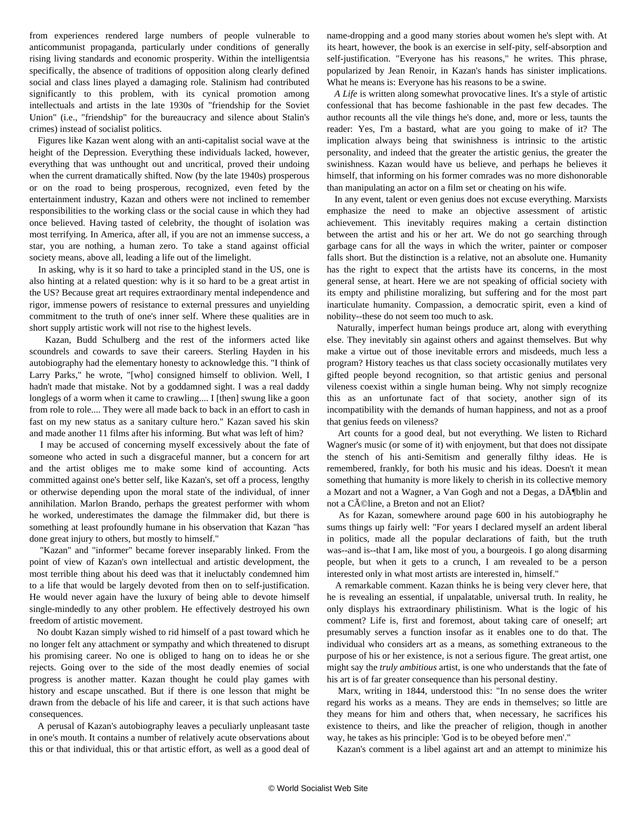from experiences rendered large numbers of people vulnerable to anticommunist propaganda, particularly under conditions of generally rising living standards and economic prosperity. Within the intelligentsia specifically, the absence of traditions of opposition along clearly defined social and class lines played a damaging role. Stalinism had contributed significantly to this problem, with its cynical promotion among intellectuals and artists in the late 1930s of "friendship for the Soviet Union" (i.e., "friendship" for the bureaucracy and silence about Stalin's crimes) instead of socialist politics.

 Figures like Kazan went along with an anti-capitalist social wave at the height of the Depression. Everything these individuals lacked, however, everything that was unthought out and uncritical, proved their undoing when the current dramatically shifted. Now (by the late 1940s) prosperous or on the road to being prosperous, recognized, even feted by the entertainment industry, Kazan and others were not inclined to remember responsibilities to the working class or the social cause in which they had once believed. Having tasted of celebrity, the thought of isolation was most terrifying. In America, after all, if you are not an immense success, a star, you are nothing, a human zero. To take a stand against official society means, above all, leading a life out of the limelight.

 In asking, why is it so hard to take a principled stand in the US, one is also hinting at a related question: why is it so hard to be a great artist in the US? Because great art requires extraordinary mental independence and rigor, immense powers of resistance to external pressures and unyielding commitment to the truth of one's inner self. Where these qualities are in short supply artistic work will not rise to the highest levels.

 Kazan, Budd Schulberg and the rest of the informers acted like scoundrels and cowards to save their careers. Sterling Hayden in his autobiography had the elementary honesty to acknowledge this. "I think of Larry Parks," he wrote, "[who] consigned himself to oblivion. Well, I hadn't made that mistake. Not by a goddamned sight. I was a real daddy longlegs of a worm when it came to crawling.... I [then] swung like a goon from role to role.... They were all made back to back in an effort to cash in fast on my new status as a sanitary culture hero." Kazan saved his skin and made another 11 films after his informing. But what was left of him?

 I may be accused of concerning myself excessively about the fate of someone who acted in such a disgraceful manner, but a concern for art and the artist obliges me to make some kind of accounting. Acts committed against one's better self, like Kazan's, set off a process, lengthy or otherwise depending upon the moral state of the individual, of inner annihilation. Marlon Brando, perhaps the greatest performer with whom he worked, underestimates the damage the filmmaker did, but there is something at least profoundly humane in his observation that Kazan "has done great injury to others, but mostly to himself."

 "Kazan" and "informer" became forever inseparably linked. From the point of view of Kazan's own intellectual and artistic development, the most terrible thing about his deed was that it ineluctably condemned him to a life that would be largely devoted from then on to self-justification. He would never again have the luxury of being able to devote himself single-mindedly to any other problem. He effectively destroyed his own freedom of artistic movement.

 No doubt Kazan simply wished to rid himself of a past toward which he no longer felt any attachment or sympathy and which threatened to disrupt his promising career. No one is obliged to hang on to ideas he or she rejects. Going over to the side of the most deadly enemies of social progress is another matter. Kazan thought he could play games with history and escape unscathed. But if there is one lesson that might be drawn from the debacle of his life and career, it is that such actions have consequences.

 A perusal of Kazan's autobiography leaves a peculiarly unpleasant taste in one's mouth. It contains a number of relatively acute observations about this or that individual, this or that artistic effort, as well as a good deal of name-dropping and a good many stories about women he's slept with. At its heart, however, the book is an exercise in self-pity, self-absorption and self-justification. "Everyone has his reasons," he writes. This phrase, popularized by Jean Renoir, in Kazan's hands has sinister implications. What he means is: Everyone has his reasons to be a swine.

 *A Life* is written along somewhat provocative lines. It's a style of artistic confessional that has become fashionable in the past few decades. The author recounts all the vile things he's done, and, more or less, taunts the reader: Yes, I'm a bastard, what are you going to make of it? The implication always being that swinishness is intrinsic to the artistic personality, and indeed that the greater the artistic genius, the greater the swinishness. Kazan would have us believe, and perhaps he believes it himself, that informing on his former comrades was no more dishonorable than manipulating an actor on a film set or cheating on his wife.

 In any event, talent or even genius does not excuse everything. Marxists emphasize the need to make an objective assessment of artistic achievement. This inevitably requires making a certain distinction between the artist and his or her art. We do not go searching through garbage cans for all the ways in which the writer, painter or composer falls short. But the distinction is a relative, not an absolute one. Humanity has the right to expect that the artists have its concerns, in the most general sense, at heart. Here we are not speaking of official society with its empty and philistine moralizing, but suffering and for the most part inarticulate humanity. Compassion, a democratic spirit, even a kind of nobility--these do not seem too much to ask.

 Naturally, imperfect human beings produce art, along with everything else. They inevitably sin against others and against themselves. But why make a virtue out of those inevitable errors and misdeeds, much less a program? History teaches us that class society occasionally mutilates very gifted people beyond recognition, so that artistic genius and personal vileness coexist within a single human being. Why not simply recognize this as an unfortunate fact of that society, another sign of its incompatibility with the demands of human happiness, and not as a proof that genius feeds on vileness?

 Art counts for a good deal, but not everything. We listen to Richard Wagner's music (or some of it) with enjoyment, but that does not dissipate the stench of his anti-Semitism and generally filthy ideas. He is remembered, frankly, for both his music and his ideas. Doesn't it mean something that humanity is more likely to cherish in its collective memory a Mozart and not a Wagner, a Van Gogh and not a Degas, a DA [blin and not a Céline, a Breton and not an Eliot?

 As for Kazan, somewhere around page 600 in his autobiography he sums things up fairly well: "For years I declared myself an ardent liberal in politics, made all the popular declarations of faith, but the truth was--and is--that I am, like most of you, a bourgeois. I go along disarming people, but when it gets to a crunch, I am revealed to be a person interested only in what most artists are interested in, himself."

 A remarkable comment. Kazan thinks he is being very clever here, that he is revealing an essential, if unpalatable, universal truth. In reality, he only displays his extraordinary philistinism. What is the logic of his comment? Life is, first and foremost, about taking care of oneself; art presumably serves a function insofar as it enables one to do that. The individual who considers art as a means, as something extraneous to the purpose of his or her existence, is not a serious figure. The great artist, one might say the *truly ambitious* artist, is one who understands that the fate of his art is of far greater consequence than his personal destiny.

 Marx, writing in 1844, understood this: "In no sense does the writer regard his works as a means. They are ends in themselves; so little are they means for him and others that, when necessary, he sacrifices his existence to theirs, and like the preacher of religion, though in another way, he takes as his principle: 'God is to be obeyed before men'."

Kazan's comment is a libel against art and an attempt to minimize his